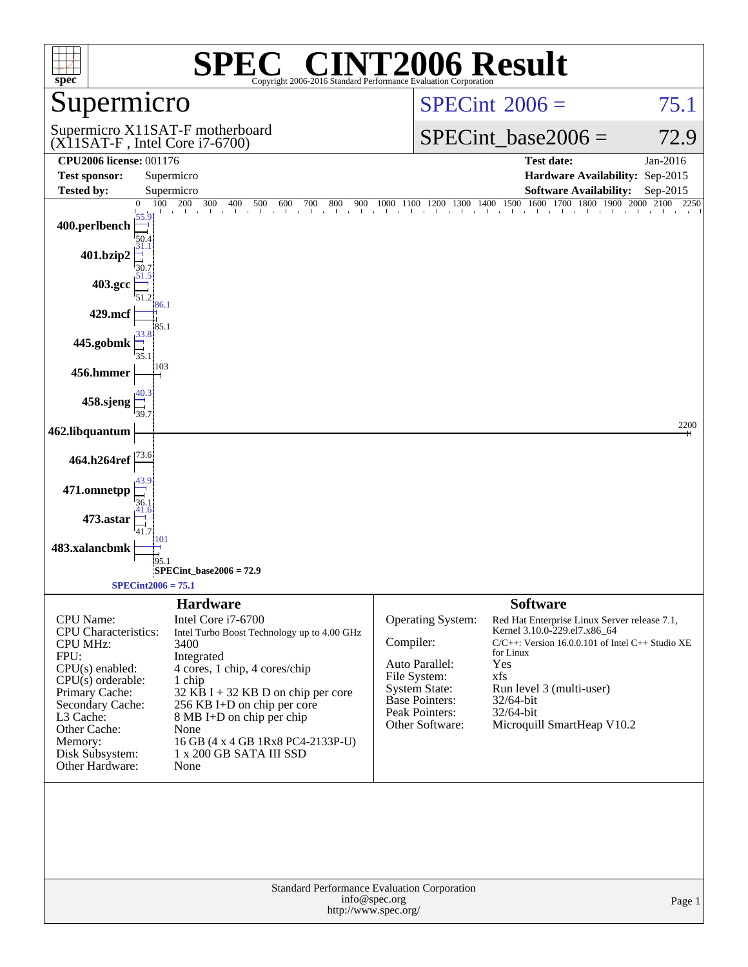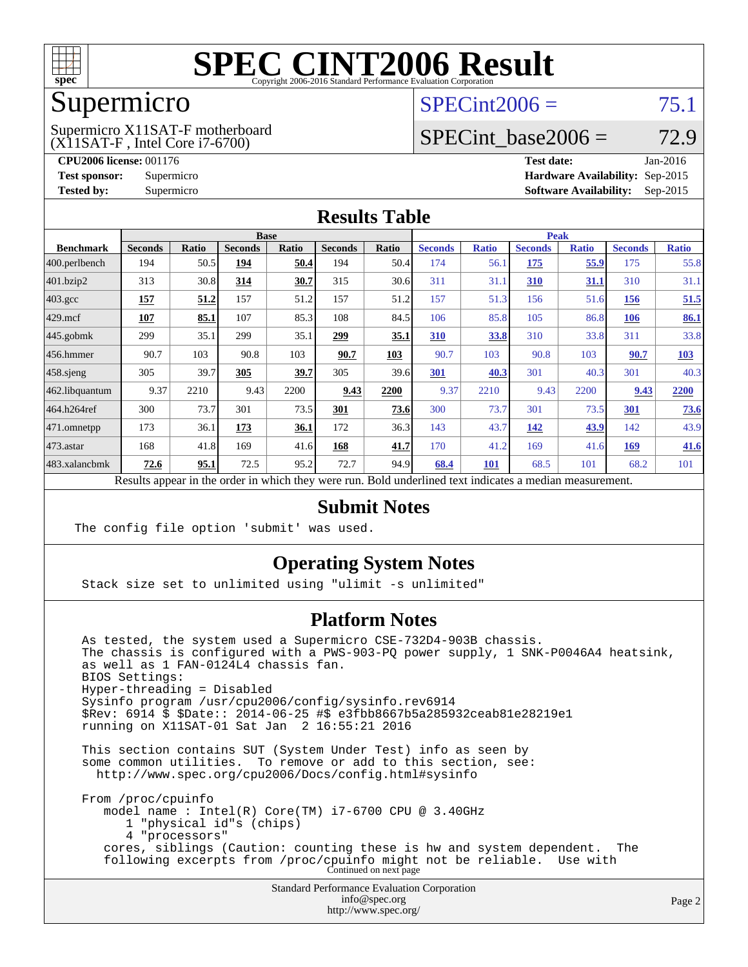

### Supermicro

(X11SAT-F , Intel Core i7-6700) Supermicro X11SAT-F motherboard  $SPECint2006 = 75.1$  $SPECint2006 = 75.1$ 

### SPECint base2006 =  $72.9$

**[CPU2006 license:](http://www.spec.org/auto/cpu2006/Docs/result-fields.html#CPU2006license)** 001176 **[Test date:](http://www.spec.org/auto/cpu2006/Docs/result-fields.html#Testdate)** Jan-2016 **[Test sponsor:](http://www.spec.org/auto/cpu2006/Docs/result-fields.html#Testsponsor)** Supermicro **[Hardware Availability:](http://www.spec.org/auto/cpu2006/Docs/result-fields.html#HardwareAvailability)** Sep-2015 **[Tested by:](http://www.spec.org/auto/cpu2006/Docs/result-fields.html#Testedby)** Supermicro **Supermicro [Software Availability:](http://www.spec.org/auto/cpu2006/Docs/result-fields.html#SoftwareAvailability)** Sep-2015

#### **[Results Table](http://www.spec.org/auto/cpu2006/Docs/result-fields.html#ResultsTable)**

|                                                                                                          | <b>Base</b>    |              |                |       |                |       | <b>Peak</b>    |              |                |              |                |              |
|----------------------------------------------------------------------------------------------------------|----------------|--------------|----------------|-------|----------------|-------|----------------|--------------|----------------|--------------|----------------|--------------|
| <b>Benchmark</b>                                                                                         | <b>Seconds</b> | <b>Ratio</b> | <b>Seconds</b> | Ratio | <b>Seconds</b> | Ratio | <b>Seconds</b> | <b>Ratio</b> | <b>Seconds</b> | <b>Ratio</b> | <b>Seconds</b> | <b>Ratio</b> |
| $ 400.\text{perlbench}$                                                                                  | 194            | 50.5         | 194            | 50.4  | 194            | 50.4  | 174            | 56.1         | <u>175</u>     | 55.9         | 175            | 55.8         |
| 401.bzip2                                                                                                | 313            | 30.8         | 314            | 30.7  | 315            | 30.6  | 311            | 31.1         | 310            | <u>31.1</u>  | 310            | 31.1         |
| $403.\text{gcc}$                                                                                         | 157            | 51.2         | 157            | 51.2  | 157            | 51.2  | 157            | 51.3         | 156            | 51.6         | 156            | 51.5         |
| $429$ mcf                                                                                                | 107            | 85.1         | 107            | 85.3  | 108            | 84.5  | 106            | 85.8         | 105            | 86.8         | <b>106</b>     | 86.1         |
| $445$ .gobmk                                                                                             | 299            | 35.1         | 299            | 35.1  | <u> 299</u>    | 35.1  | <b>310</b>     | 33.8         | 310            | 33.8         | 311            | 33.8         |
| $456.$ hmmer                                                                                             | 90.7           | 103          | 90.8           | 103   | 90.7           | 103   | 90.7           | 103          | 90.8           | 103          | 90.7           | 103          |
| $458$ .sjeng                                                                                             | 305            | 39.7         | 305            | 39.7  | 305            | 39.6  | 301            | 40.3         | 301            | 40.3         | 301            | 40.3         |
| 462.libquantum                                                                                           | 9.37           | 2210         | 9.43           | 2200  | 9.43           | 2200  | 9.37           | 2210         | 9.43           | 2200         | 9.43           | 2200         |
| 464.h264ref                                                                                              | 300            | 73.7         | 301            | 73.5  | 301            | 73.6  | 300            | 73.7         | 301            | 73.5         | 301            | 73.6         |
| $ 471$ .omnetpp                                                                                          | 173            | 36.1         | 173            | 36.1  | 172            | 36.3  | 143            | 43.7         | 142            | 43.9         | 142            | 43.9         |
| $473$ . astar                                                                                            | 168            | 41.8         | 169            | 41.6  | 168            | 41.7  | 170            | 41.2         | 169            | 41.6         | 169            | 41.6         |
| 483.xalancbmk                                                                                            | 72.6           | 95.1         | 72.5           | 95.2  | 72.7           | 94.9  | 68.4           | 101          | 68.5           | 101          | 68.2           | 101          |
| Results appear in the order in which they were run. Bold underlined text indicates a median measurement. |                |              |                |       |                |       |                |              |                |              |                |              |

### **[Submit Notes](http://www.spec.org/auto/cpu2006/Docs/result-fields.html#SubmitNotes)**

The config file option 'submit' was used.

### **[Operating System Notes](http://www.spec.org/auto/cpu2006/Docs/result-fields.html#OperatingSystemNotes)**

Stack size set to unlimited using "ulimit -s unlimited"

#### **[Platform Notes](http://www.spec.org/auto/cpu2006/Docs/result-fields.html#PlatformNotes)**

 As tested, the system used a Supermicro CSE-732D4-903B chassis. The chassis is configured with a PWS-903-PQ power supply, 1 SNK-P0046A4 heatsink, as well as 1 FAN-0124L4 chassis fan. BIOS Settings: Hyper-threading = Disabled Sysinfo program /usr/cpu2006/config/sysinfo.rev6914 \$Rev: 6914 \$ \$Date:: 2014-06-25 #\$ e3fbb8667b5a285932ceab81e28219e1 running on X11SAT-01 Sat Jan 2 16:55:21 2016 This section contains SUT (System Under Test) info as seen by some common utilities. To remove or add to this section, see:

<http://www.spec.org/cpu2006/Docs/config.html#sysinfo>

 From /proc/cpuinfo model name : Intel(R) Core(TM) i7-6700 CPU @ 3.40GHz 1 "physical id"s (chips) 4 "processors" cores, siblings (Caution: counting these is hw and system dependent. The following excerpts from /proc/cpuinfo might not be reliable. Use with Continued on next page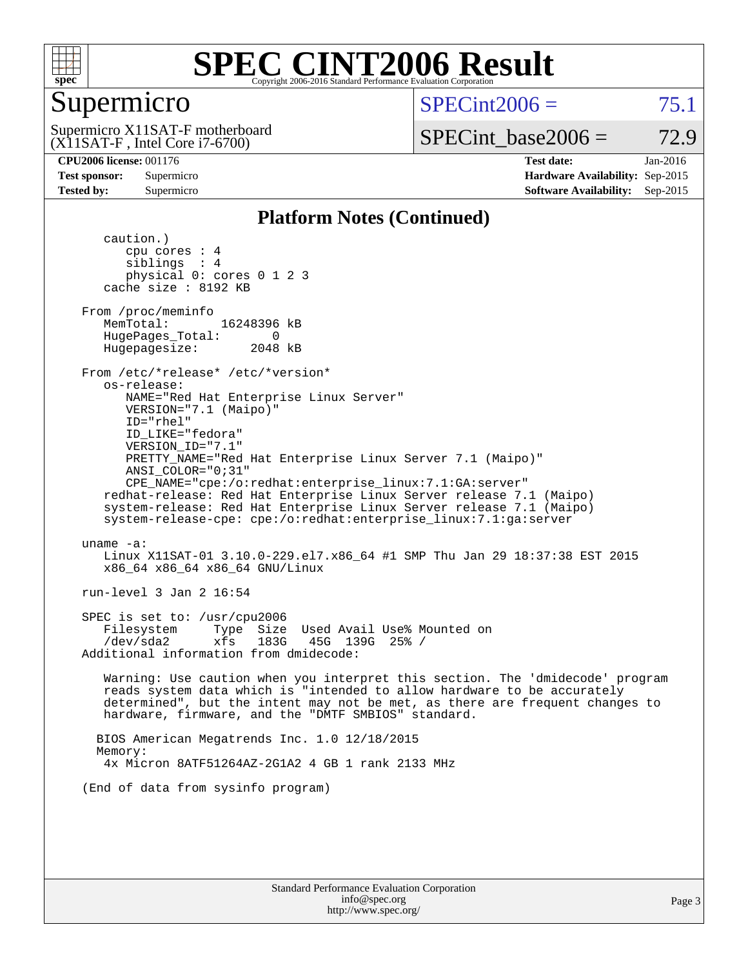

### Supermicro

(X11SAT-F , Intel Core i7-6700) Supermicro X11SAT-F motherboard  $SPECint2006 = 75.1$  $SPECint2006 = 75.1$ 

SPECint base2006 =  $72.9$ 

**[CPU2006 license:](http://www.spec.org/auto/cpu2006/Docs/result-fields.html#CPU2006license)** 001176 **[Test date:](http://www.spec.org/auto/cpu2006/Docs/result-fields.html#Testdate)** Jan-2016 **[Test sponsor:](http://www.spec.org/auto/cpu2006/Docs/result-fields.html#Testsponsor)** Supermicro **[Hardware Availability:](http://www.spec.org/auto/cpu2006/Docs/result-fields.html#HardwareAvailability)** Sep-2015 **[Tested by:](http://www.spec.org/auto/cpu2006/Docs/result-fields.html#Testedby)** Supermicro **Supermicro [Software Availability:](http://www.spec.org/auto/cpu2006/Docs/result-fields.html#SoftwareAvailability)** Sep-2015

#### **[Platform Notes \(Continued\)](http://www.spec.org/auto/cpu2006/Docs/result-fields.html#PlatformNotes)**

 caution.) cpu cores : 4 siblings : 4 physical 0: cores 0 1 2 3 cache size : 8192 KB From /proc/meminfo MemTotal: 16248396 kB HugePages\_Total: 0<br>Hugepagesize: 2048 kB Hugepagesize: From /etc/\*release\* /etc/\*version\* os-release: NAME="Red Hat Enterprise Linux Server" VERSION="7.1 (Maipo)" ID="rhel" ID\_LIKE="fedora" VERSION\_ID="7.1" PRETTY\_NAME="Red Hat Enterprise Linux Server 7.1 (Maipo)" ANSI\_COLOR="0;31" CPE\_NAME="cpe:/o:redhat:enterprise\_linux:7.1:GA:server" redhat-release: Red Hat Enterprise Linux Server release 7.1 (Maipo) system-release: Red Hat Enterprise Linux Server release 7.1 (Maipo) system-release-cpe: cpe:/o:redhat:enterprise\_linux:7.1:ga:server uname -a: Linux X11SAT-01 3.10.0-229.el7.x86\_64 #1 SMP Thu Jan 29 18:37:38 EST 2015 x86\_64 x86\_64 x86\_64 GNU/Linux run-level 3 Jan 2 16:54 SPEC is set to: /usr/cpu2006 Filesystem Type Size Used Avail Use% Mounted on /dev/sda2 xfs 183G 45G 139G 25% / Additional information from dmidecode: Warning: Use caution when you interpret this section. The 'dmidecode' program reads system data which is "intended to allow hardware to be accurately determined", but the intent may not be met, as there are frequent changes to hardware, firmware, and the "DMTF SMBIOS" standard. BIOS American Megatrends Inc. 1.0 12/18/2015 Memory: 4x Micron 8ATF51264AZ-2G1A2 4 GB 1 rank 2133 MHz (End of data from sysinfo program)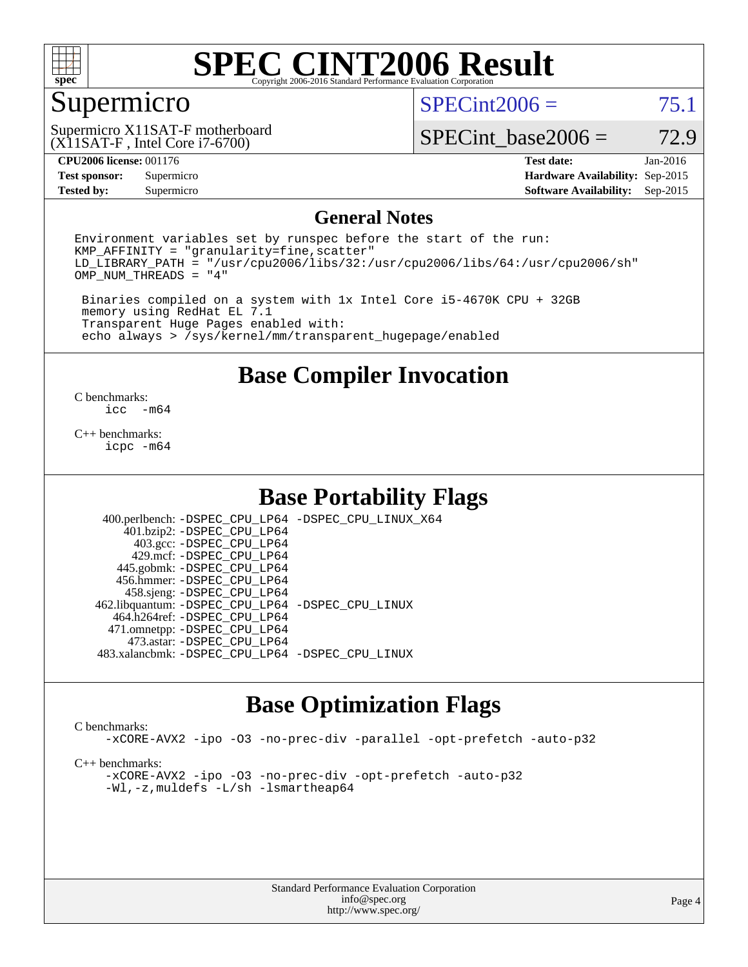

### Supermicro

 $SPECint2006 = 75.1$  $SPECint2006 = 75.1$ 

(X11SAT-F , Intel Core i7-6700) Supermicro X11SAT-F motherboard

SPECint base2006 =  $72.9$ 

**[Tested by:](http://www.spec.org/auto/cpu2006/Docs/result-fields.html#Testedby)** Supermicro **Supermicro [Software Availability:](http://www.spec.org/auto/cpu2006/Docs/result-fields.html#SoftwareAvailability)** Sep-2015

**[CPU2006 license:](http://www.spec.org/auto/cpu2006/Docs/result-fields.html#CPU2006license)** 001176 **[Test date:](http://www.spec.org/auto/cpu2006/Docs/result-fields.html#Testdate)** Jan-2016 **[Test sponsor:](http://www.spec.org/auto/cpu2006/Docs/result-fields.html#Testsponsor)** Supermicro **[Hardware Availability:](http://www.spec.org/auto/cpu2006/Docs/result-fields.html#HardwareAvailability)** Sep-2015

#### **[General Notes](http://www.spec.org/auto/cpu2006/Docs/result-fields.html#GeneralNotes)**

Environment variables set by runspec before the start of the run:  $KMP$  AFFINITY = "granularity=fine, scatter" LD\_LIBRARY\_PATH = "/usr/cpu2006/libs/32:/usr/cpu2006/libs/64:/usr/cpu2006/sh" OMP\_NUM\_THREADS = "4"

 Binaries compiled on a system with 1x Intel Core i5-4670K CPU + 32GB memory using RedHat EL 7.1 Transparent Huge Pages enabled with: echo always > /sys/kernel/mm/transparent\_hugepage/enabled

**[Base Compiler Invocation](http://www.spec.org/auto/cpu2006/Docs/result-fields.html#BaseCompilerInvocation)**

 $\frac{C \text{ benchmarks:}}{C \text{ C}}$ -m64

[C++ benchmarks:](http://www.spec.org/auto/cpu2006/Docs/result-fields.html#CXXbenchmarks) [icpc -m64](http://www.spec.org/cpu2006/results/res2016q1/cpu2006-20160106-38554.flags.html#user_CXXbase_intel_icpc_64bit_fc66a5337ce925472a5c54ad6a0de310)

### **[Base Portability Flags](http://www.spec.org/auto/cpu2006/Docs/result-fields.html#BasePortabilityFlags)**

 400.perlbench: [-DSPEC\\_CPU\\_LP64](http://www.spec.org/cpu2006/results/res2016q1/cpu2006-20160106-38554.flags.html#b400.perlbench_basePORTABILITY_DSPEC_CPU_LP64) [-DSPEC\\_CPU\\_LINUX\\_X64](http://www.spec.org/cpu2006/results/res2016q1/cpu2006-20160106-38554.flags.html#b400.perlbench_baseCPORTABILITY_DSPEC_CPU_LINUX_X64) 401.bzip2: [-DSPEC\\_CPU\\_LP64](http://www.spec.org/cpu2006/results/res2016q1/cpu2006-20160106-38554.flags.html#suite_basePORTABILITY401_bzip2_DSPEC_CPU_LP64) 403.gcc: [-DSPEC\\_CPU\\_LP64](http://www.spec.org/cpu2006/results/res2016q1/cpu2006-20160106-38554.flags.html#suite_basePORTABILITY403_gcc_DSPEC_CPU_LP64) 429.mcf: [-DSPEC\\_CPU\\_LP64](http://www.spec.org/cpu2006/results/res2016q1/cpu2006-20160106-38554.flags.html#suite_basePORTABILITY429_mcf_DSPEC_CPU_LP64) 445.gobmk: [-DSPEC\\_CPU\\_LP64](http://www.spec.org/cpu2006/results/res2016q1/cpu2006-20160106-38554.flags.html#suite_basePORTABILITY445_gobmk_DSPEC_CPU_LP64) 456.hmmer: [-DSPEC\\_CPU\\_LP64](http://www.spec.org/cpu2006/results/res2016q1/cpu2006-20160106-38554.flags.html#suite_basePORTABILITY456_hmmer_DSPEC_CPU_LP64) 458.sjeng: [-DSPEC\\_CPU\\_LP64](http://www.spec.org/cpu2006/results/res2016q1/cpu2006-20160106-38554.flags.html#suite_basePORTABILITY458_sjeng_DSPEC_CPU_LP64) 462.libquantum: [-DSPEC\\_CPU\\_LP64](http://www.spec.org/cpu2006/results/res2016q1/cpu2006-20160106-38554.flags.html#suite_basePORTABILITY462_libquantum_DSPEC_CPU_LP64) [-DSPEC\\_CPU\\_LINUX](http://www.spec.org/cpu2006/results/res2016q1/cpu2006-20160106-38554.flags.html#b462.libquantum_baseCPORTABILITY_DSPEC_CPU_LINUX) 464.h264ref: [-DSPEC\\_CPU\\_LP64](http://www.spec.org/cpu2006/results/res2016q1/cpu2006-20160106-38554.flags.html#suite_basePORTABILITY464_h264ref_DSPEC_CPU_LP64) 471.omnetpp: [-DSPEC\\_CPU\\_LP64](http://www.spec.org/cpu2006/results/res2016q1/cpu2006-20160106-38554.flags.html#suite_basePORTABILITY471_omnetpp_DSPEC_CPU_LP64) 473.astar: [-DSPEC\\_CPU\\_LP64](http://www.spec.org/cpu2006/results/res2016q1/cpu2006-20160106-38554.flags.html#suite_basePORTABILITY473_astar_DSPEC_CPU_LP64) 483.xalancbmk: [-DSPEC\\_CPU\\_LP64](http://www.spec.org/cpu2006/results/res2016q1/cpu2006-20160106-38554.flags.html#suite_basePORTABILITY483_xalancbmk_DSPEC_CPU_LP64) [-DSPEC\\_CPU\\_LINUX](http://www.spec.org/cpu2006/results/res2016q1/cpu2006-20160106-38554.flags.html#b483.xalancbmk_baseCXXPORTABILITY_DSPEC_CPU_LINUX)

### **[Base Optimization Flags](http://www.spec.org/auto/cpu2006/Docs/result-fields.html#BaseOptimizationFlags)**

[C benchmarks](http://www.spec.org/auto/cpu2006/Docs/result-fields.html#Cbenchmarks):

[-xCORE-AVX2](http://www.spec.org/cpu2006/results/res2016q1/cpu2006-20160106-38554.flags.html#user_CCbase_f-xAVX2_5f5fc0cbe2c9f62c816d3e45806c70d7) [-ipo](http://www.spec.org/cpu2006/results/res2016q1/cpu2006-20160106-38554.flags.html#user_CCbase_f-ipo) [-O3](http://www.spec.org/cpu2006/results/res2016q1/cpu2006-20160106-38554.flags.html#user_CCbase_f-O3) [-no-prec-div](http://www.spec.org/cpu2006/results/res2016q1/cpu2006-20160106-38554.flags.html#user_CCbase_f-no-prec-div) [-parallel](http://www.spec.org/cpu2006/results/res2016q1/cpu2006-20160106-38554.flags.html#user_CCbase_f-parallel) [-opt-prefetch](http://www.spec.org/cpu2006/results/res2016q1/cpu2006-20160106-38554.flags.html#user_CCbase_f-opt-prefetch) [-auto-p32](http://www.spec.org/cpu2006/results/res2016q1/cpu2006-20160106-38554.flags.html#user_CCbase_f-auto-p32)

[C++ benchmarks:](http://www.spec.org/auto/cpu2006/Docs/result-fields.html#CXXbenchmarks)

[-xCORE-AVX2](http://www.spec.org/cpu2006/results/res2016q1/cpu2006-20160106-38554.flags.html#user_CXXbase_f-xAVX2_5f5fc0cbe2c9f62c816d3e45806c70d7) [-ipo](http://www.spec.org/cpu2006/results/res2016q1/cpu2006-20160106-38554.flags.html#user_CXXbase_f-ipo) [-O3](http://www.spec.org/cpu2006/results/res2016q1/cpu2006-20160106-38554.flags.html#user_CXXbase_f-O3) [-no-prec-div](http://www.spec.org/cpu2006/results/res2016q1/cpu2006-20160106-38554.flags.html#user_CXXbase_f-no-prec-div) [-opt-prefetch](http://www.spec.org/cpu2006/results/res2016q1/cpu2006-20160106-38554.flags.html#user_CXXbase_f-opt-prefetch) [-auto-p32](http://www.spec.org/cpu2006/results/res2016q1/cpu2006-20160106-38554.flags.html#user_CXXbase_f-auto-p32) [-Wl,-z,muldefs](http://www.spec.org/cpu2006/results/res2016q1/cpu2006-20160106-38554.flags.html#user_CXXbase_link_force_multiple1_74079c344b956b9658436fd1b6dd3a8a) [-L/sh -lsmartheap64](http://www.spec.org/cpu2006/results/res2016q1/cpu2006-20160106-38554.flags.html#user_CXXbase_SmartHeap64_ed4ef857ce90951921efb0d91eb88472)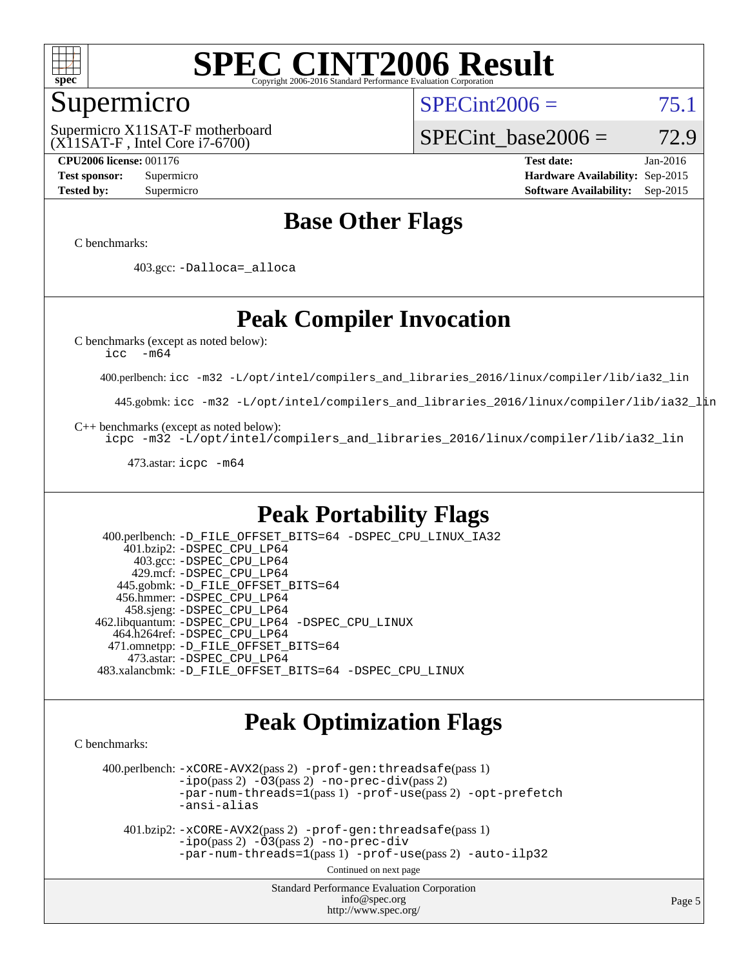

### Supermicro

(X11SAT-F , Intel Core i7-6700) Supermicro X11SAT-F motherboard  $SPECint2006 = 75.1$  $SPECint2006 = 75.1$ 

SPECint base2006 =  $72.9$ 

**[CPU2006 license:](http://www.spec.org/auto/cpu2006/Docs/result-fields.html#CPU2006license)** 001176 **[Test date:](http://www.spec.org/auto/cpu2006/Docs/result-fields.html#Testdate)** Jan-2016 **[Test sponsor:](http://www.spec.org/auto/cpu2006/Docs/result-fields.html#Testsponsor)** Supermicro **[Hardware Availability:](http://www.spec.org/auto/cpu2006/Docs/result-fields.html#HardwareAvailability)** Sep-2015 **[Tested by:](http://www.spec.org/auto/cpu2006/Docs/result-fields.html#Testedby)** Supermicro **Supermicro [Software Availability:](http://www.spec.org/auto/cpu2006/Docs/result-fields.html#SoftwareAvailability)** Sep-2015

### **[Base Other Flags](http://www.spec.org/auto/cpu2006/Docs/result-fields.html#BaseOtherFlags)**

[C benchmarks](http://www.spec.org/auto/cpu2006/Docs/result-fields.html#Cbenchmarks):

403.gcc: [-Dalloca=\\_alloca](http://www.spec.org/cpu2006/results/res2016q1/cpu2006-20160106-38554.flags.html#b403.gcc_baseEXTRA_CFLAGS_Dalloca_be3056838c12de2578596ca5467af7f3)

### **[Peak Compiler Invocation](http://www.spec.org/auto/cpu2006/Docs/result-fields.html#PeakCompilerInvocation)**

[C benchmarks \(except as noted below\)](http://www.spec.org/auto/cpu2006/Docs/result-fields.html#Cbenchmarksexceptasnotedbelow):

[icc -m64](http://www.spec.org/cpu2006/results/res2016q1/cpu2006-20160106-38554.flags.html#user_CCpeak_intel_icc_64bit_f346026e86af2a669e726fe758c88044)

400.perlbench: [icc -m32 -L/opt/intel/compilers\\_and\\_libraries\\_2016/linux/compiler/lib/ia32\\_lin](http://www.spec.org/cpu2006/results/res2016q1/cpu2006-20160106-38554.flags.html#user_peakCCLD400_perlbench_intel_icc_e10256ba5924b668798078a321b0cb3f)

445.gobmk: [icc -m32 -L/opt/intel/compilers\\_and\\_libraries\\_2016/linux/compiler/lib/ia32\\_lin](http://www.spec.org/cpu2006/results/res2016q1/cpu2006-20160106-38554.flags.html#user_peakCCLD445_gobmk_intel_icc_e10256ba5924b668798078a321b0cb3f)

[C++ benchmarks \(except as noted below\):](http://www.spec.org/auto/cpu2006/Docs/result-fields.html#CXXbenchmarksexceptasnotedbelow)

[icpc -m32 -L/opt/intel/compilers\\_and\\_libraries\\_2016/linux/compiler/lib/ia32\\_lin](http://www.spec.org/cpu2006/results/res2016q1/cpu2006-20160106-38554.flags.html#user_CXXpeak_intel_icpc_b4f50a394bdb4597aa5879c16bc3f5c5)

473.astar: [icpc -m64](http://www.spec.org/cpu2006/results/res2016q1/cpu2006-20160106-38554.flags.html#user_peakCXXLD473_astar_intel_icpc_64bit_fc66a5337ce925472a5c54ad6a0de310)

### **[Peak Portability Flags](http://www.spec.org/auto/cpu2006/Docs/result-fields.html#PeakPortabilityFlags)**

 400.perlbench: [-D\\_FILE\\_OFFSET\\_BITS=64](http://www.spec.org/cpu2006/results/res2016q1/cpu2006-20160106-38554.flags.html#user_peakPORTABILITY400_perlbench_file_offset_bits_64_438cf9856305ebd76870a2c6dc2689ab) [-DSPEC\\_CPU\\_LINUX\\_IA32](http://www.spec.org/cpu2006/results/res2016q1/cpu2006-20160106-38554.flags.html#b400.perlbench_peakCPORTABILITY_DSPEC_CPU_LINUX_IA32) 401.bzip2: [-DSPEC\\_CPU\\_LP64](http://www.spec.org/cpu2006/results/res2016q1/cpu2006-20160106-38554.flags.html#suite_peakPORTABILITY401_bzip2_DSPEC_CPU_LP64) 403.gcc: [-DSPEC\\_CPU\\_LP64](http://www.spec.org/cpu2006/results/res2016q1/cpu2006-20160106-38554.flags.html#suite_peakPORTABILITY403_gcc_DSPEC_CPU_LP64) 429.mcf: [-DSPEC\\_CPU\\_LP64](http://www.spec.org/cpu2006/results/res2016q1/cpu2006-20160106-38554.flags.html#suite_peakPORTABILITY429_mcf_DSPEC_CPU_LP64) 445.gobmk: [-D\\_FILE\\_OFFSET\\_BITS=64](http://www.spec.org/cpu2006/results/res2016q1/cpu2006-20160106-38554.flags.html#user_peakPORTABILITY445_gobmk_file_offset_bits_64_438cf9856305ebd76870a2c6dc2689ab) 456.hmmer: [-DSPEC\\_CPU\\_LP64](http://www.spec.org/cpu2006/results/res2016q1/cpu2006-20160106-38554.flags.html#suite_peakPORTABILITY456_hmmer_DSPEC_CPU_LP64) 458.sjeng: [-DSPEC\\_CPU\\_LP64](http://www.spec.org/cpu2006/results/res2016q1/cpu2006-20160106-38554.flags.html#suite_peakPORTABILITY458_sjeng_DSPEC_CPU_LP64) 462.libquantum: [-DSPEC\\_CPU\\_LP64](http://www.spec.org/cpu2006/results/res2016q1/cpu2006-20160106-38554.flags.html#suite_peakPORTABILITY462_libquantum_DSPEC_CPU_LP64) [-DSPEC\\_CPU\\_LINUX](http://www.spec.org/cpu2006/results/res2016q1/cpu2006-20160106-38554.flags.html#b462.libquantum_peakCPORTABILITY_DSPEC_CPU_LINUX) 464.h264ref: [-DSPEC\\_CPU\\_LP64](http://www.spec.org/cpu2006/results/res2016q1/cpu2006-20160106-38554.flags.html#suite_peakPORTABILITY464_h264ref_DSPEC_CPU_LP64) 471.omnetpp: [-D\\_FILE\\_OFFSET\\_BITS=64](http://www.spec.org/cpu2006/results/res2016q1/cpu2006-20160106-38554.flags.html#user_peakPORTABILITY471_omnetpp_file_offset_bits_64_438cf9856305ebd76870a2c6dc2689ab) 473.astar: [-DSPEC\\_CPU\\_LP64](http://www.spec.org/cpu2006/results/res2016q1/cpu2006-20160106-38554.flags.html#suite_peakPORTABILITY473_astar_DSPEC_CPU_LP64) 483.xalancbmk: [-D\\_FILE\\_OFFSET\\_BITS=64](http://www.spec.org/cpu2006/results/res2016q1/cpu2006-20160106-38554.flags.html#user_peakPORTABILITY483_xalancbmk_file_offset_bits_64_438cf9856305ebd76870a2c6dc2689ab) [-DSPEC\\_CPU\\_LINUX](http://www.spec.org/cpu2006/results/res2016q1/cpu2006-20160106-38554.flags.html#b483.xalancbmk_peakCXXPORTABILITY_DSPEC_CPU_LINUX)

### **[Peak Optimization Flags](http://www.spec.org/auto/cpu2006/Docs/result-fields.html#PeakOptimizationFlags)**

[C benchmarks](http://www.spec.org/auto/cpu2006/Docs/result-fields.html#Cbenchmarks):

 400.perlbench: [-xCORE-AVX2](http://www.spec.org/cpu2006/results/res2016q1/cpu2006-20160106-38554.flags.html#user_peakPASS2_CFLAGSPASS2_LDCFLAGS400_perlbench_f-xAVX2_5f5fc0cbe2c9f62c816d3e45806c70d7)(pass 2) [-prof-gen:threadsafe](http://www.spec.org/cpu2006/results/res2016q1/cpu2006-20160106-38554.flags.html#user_peakPASS1_CFLAGSPASS1_LDCFLAGS400_perlbench_prof_gen_21a26eb79f378b550acd7bec9fe4467a)(pass 1)  $-i\text{po}(pass 2) -\tilde{O}3(pass 2)$  [-no-prec-div](http://www.spec.org/cpu2006/results/res2016q1/cpu2006-20160106-38554.flags.html#user_peakPASS2_CFLAGSPASS2_LDCFLAGS400_perlbench_f-no-prec-div)(pass 2) [-par-num-threads=1](http://www.spec.org/cpu2006/results/res2016q1/cpu2006-20160106-38554.flags.html#user_peakPASS1_CFLAGSPASS1_LDCFLAGS400_perlbench_par_num_threads_786a6ff141b4e9e90432e998842df6c2)(pass 1) [-prof-use](http://www.spec.org/cpu2006/results/res2016q1/cpu2006-20160106-38554.flags.html#user_peakPASS2_CFLAGSPASS2_LDCFLAGS400_perlbench_prof_use_bccf7792157ff70d64e32fe3e1250b55)(pass 2) [-opt-prefetch](http://www.spec.org/cpu2006/results/res2016q1/cpu2006-20160106-38554.flags.html#user_peakCOPTIMIZE400_perlbench_f-opt-prefetch) [-ansi-alias](http://www.spec.org/cpu2006/results/res2016q1/cpu2006-20160106-38554.flags.html#user_peakCOPTIMIZE400_perlbench_f-ansi-alias)

 401.bzip2: [-xCORE-AVX2](http://www.spec.org/cpu2006/results/res2016q1/cpu2006-20160106-38554.flags.html#user_peakPASS2_CFLAGSPASS2_LDCFLAGS401_bzip2_f-xAVX2_5f5fc0cbe2c9f62c816d3e45806c70d7)(pass 2) [-prof-gen:threadsafe](http://www.spec.org/cpu2006/results/res2016q1/cpu2006-20160106-38554.flags.html#user_peakPASS1_CFLAGSPASS1_LDCFLAGS401_bzip2_prof_gen_21a26eb79f378b550acd7bec9fe4467a)(pass 1)  $-i\text{po}(pass 2) -\overline{O}3(pass 2)$  [-no-prec-div](http://www.spec.org/cpu2006/results/res2016q1/cpu2006-20160106-38554.flags.html#user_peakCOPTIMIZEPASS2_CFLAGSPASS2_LDCFLAGS401_bzip2_f-no-prec-div) [-par-num-threads=1](http://www.spec.org/cpu2006/results/res2016q1/cpu2006-20160106-38554.flags.html#user_peakPASS1_CFLAGSPASS1_LDCFLAGS401_bzip2_par_num_threads_786a6ff141b4e9e90432e998842df6c2)(pass 1) [-prof-use](http://www.spec.org/cpu2006/results/res2016q1/cpu2006-20160106-38554.flags.html#user_peakPASS2_CFLAGSPASS2_LDCFLAGS401_bzip2_prof_use_bccf7792157ff70d64e32fe3e1250b55)(pass 2) [-auto-ilp32](http://www.spec.org/cpu2006/results/res2016q1/cpu2006-20160106-38554.flags.html#user_peakCOPTIMIZE401_bzip2_f-auto-ilp32)

Continued on next page

Standard Performance Evaluation Corporation [info@spec.org](mailto:info@spec.org) <http://www.spec.org/>

Page 5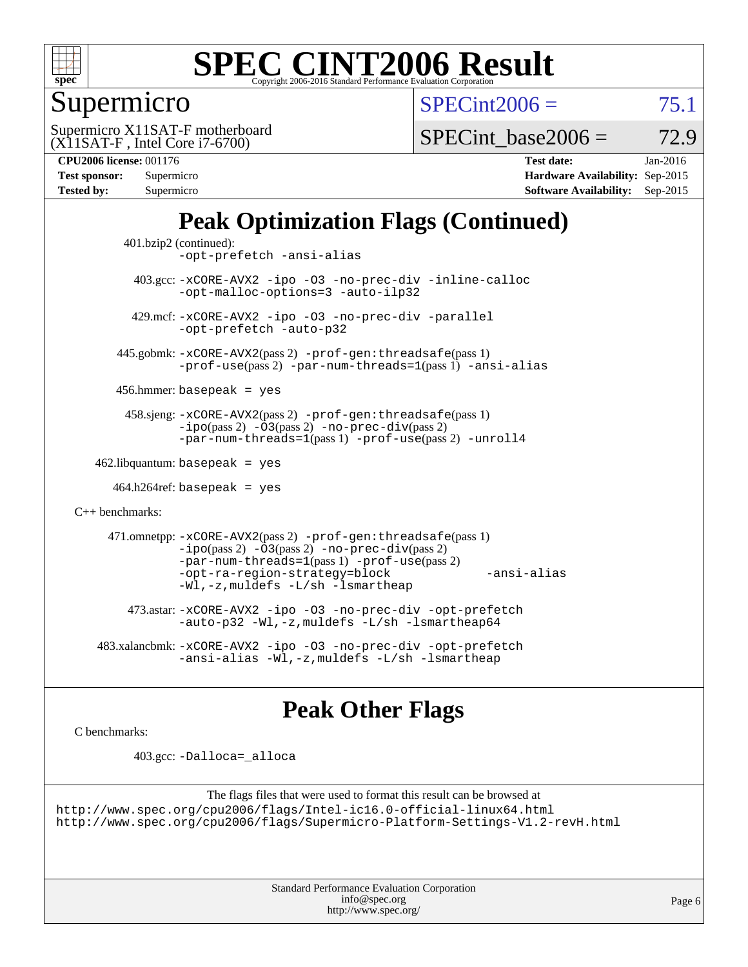

### Supermicro

 $SPECint2006 = 75.1$  $SPECint2006 = 75.1$ 

(X11SAT-F , Intel Core i7-6700) Supermicro X11SAT-F motherboard

SPECint base2006 =  $72.9$ 

**[CPU2006 license:](http://www.spec.org/auto/cpu2006/Docs/result-fields.html#CPU2006license)** 001176 **[Test date:](http://www.spec.org/auto/cpu2006/Docs/result-fields.html#Testdate)** Jan-2016 **[Test sponsor:](http://www.spec.org/auto/cpu2006/Docs/result-fields.html#Testsponsor)** Supermicro **[Hardware Availability:](http://www.spec.org/auto/cpu2006/Docs/result-fields.html#HardwareAvailability)** Sep-2015 **[Tested by:](http://www.spec.org/auto/cpu2006/Docs/result-fields.html#Testedby)** Supermicro **Supermicro [Software Availability:](http://www.spec.org/auto/cpu2006/Docs/result-fields.html#SoftwareAvailability)** Sep-2015

### **[Peak Optimization Flags \(Continued\)](http://www.spec.org/auto/cpu2006/Docs/result-fields.html#PeakOptimizationFlags)**

```
 401.bzip2 (continued):
                -opt-prefetch -ansi-alias
          403.gcc: -xCORE-AVX2 -ipo -O3 -no-prec-div -inline-calloc
                -opt-malloc-options=3 -auto-ilp32
         429.mcf: -xCORE-AVX2 -ipo -O3 -no-prec-div -parallel
                -opt-prefetch -auto-p32
       445.gobmk: -xCORE-AVX2(pass 2) -prof-gen:threadsafe(pass 1)
                -prof-use(pass 2) -par-num-threads=1(pass 1) -ansi-alias
       456.hmmer: basepeak = yes
        458.sjeng: -xCORE-AVX2(pass 2) -prof-gen:threadsafe(pass 1)
                -i\text{po}(pass 2) -\tilde{O}3(pass 2)-no-prec-div(pass 2)
                -par-num-threads=1(pass 1) -prof-use(pass 2) -unroll4
   462.libquantum: basepeak = yes
     464.h264ref: basepeak = yes
C++ benchmarks: 
      471.omnetpp: -xCORE-AVX2(pass 2) -prof-gen:threadsafe(pass 1)
                -i\text{po}(pass 2) -\overline{O}3(pass 2) -no-\overline{prec}\-div(pass 2)-par-num-threads=1(pass 1) -prof-use(pass 2)
                -opt-ra-region-strategy=block -ansi-alias
                -Wl,-z,muldefs -L/sh -lsmartheap
         473.astar: -xCORE-AVX2 -ipo -O3 -no-prec-div -opt-prefetch
                -auto-p32 -Wl,-z,muldefs -L/sh -lsmartheap64
    483.xalancbmk: -xCORE-AVX2 -ipo -O3 -no-prec-div -opt-prefetch
                -ansi-alias -Wl,-z,muldefs -L/sh -lsmartheap
```
### **[Peak Other Flags](http://www.spec.org/auto/cpu2006/Docs/result-fields.html#PeakOtherFlags)**

[C benchmarks](http://www.spec.org/auto/cpu2006/Docs/result-fields.html#Cbenchmarks):

403.gcc: [-Dalloca=\\_alloca](http://www.spec.org/cpu2006/results/res2016q1/cpu2006-20160106-38554.flags.html#b403.gcc_peakEXTRA_CFLAGS_Dalloca_be3056838c12de2578596ca5467af7f3)

```
The flags files that were used to format this result can be browsed at
http://www.spec.org/cpu2006/flags/Intel-ic16.0-official-linux64.html
http://www.spec.org/cpu2006/flags/Supermicro-Platform-Settings-V1.2-revH.html
```